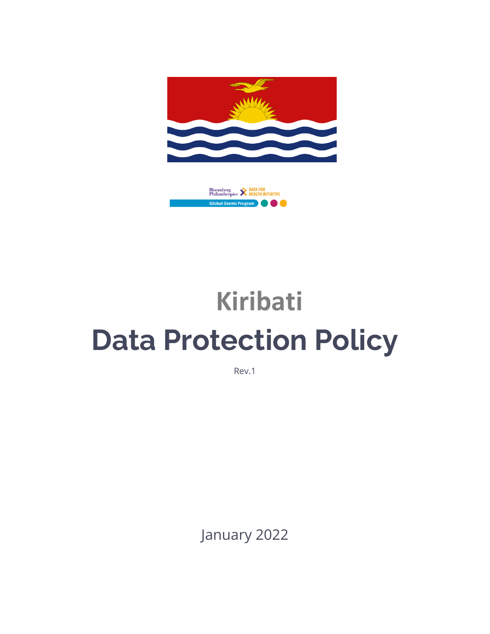



# **Kiribati Data Protection Policy**

Rev.1

January 2022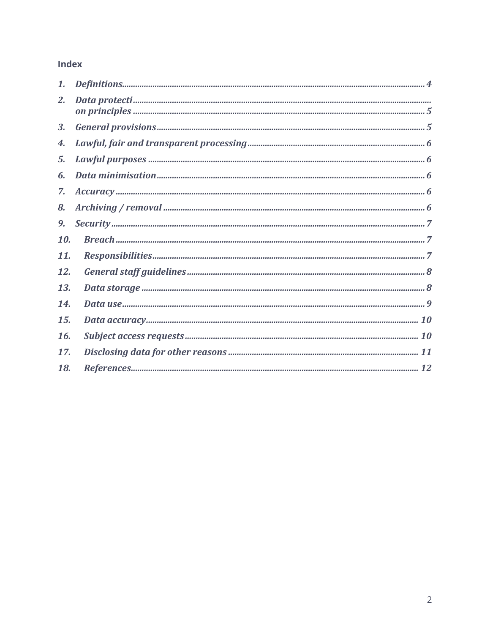#### Index

| 1.  |  |
|-----|--|
| 2.  |  |
| 3.  |  |
| 4.  |  |
| 5.  |  |
| 6.  |  |
| 7.  |  |
| 8.  |  |
| 9,  |  |
| 10. |  |
| 11. |  |
| 12. |  |
| 13. |  |
| 14. |  |
| 15. |  |
| 16. |  |
| 17. |  |
| 18. |  |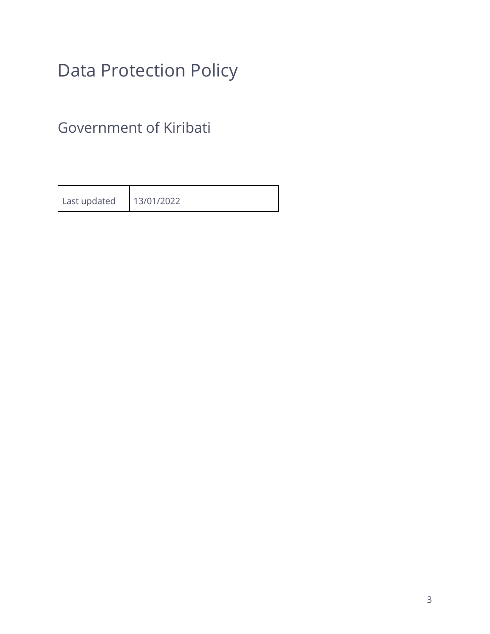## Data Protection Policy

Government of Kiribati

| Last updated | 13/01/2022 |
|--------------|------------|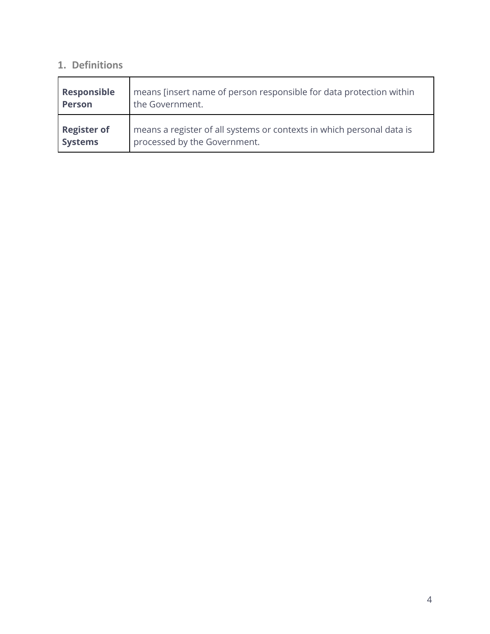### **1. Definitions**

| Responsible        | means [insert name of person responsible for data protection within   |
|--------------------|-----------------------------------------------------------------------|
| <b>Person</b>      | the Government.                                                       |
| <b>Register of</b> | means a register of all systems or contexts in which personal data is |
| <b>Systems</b>     | processed by the Government.                                          |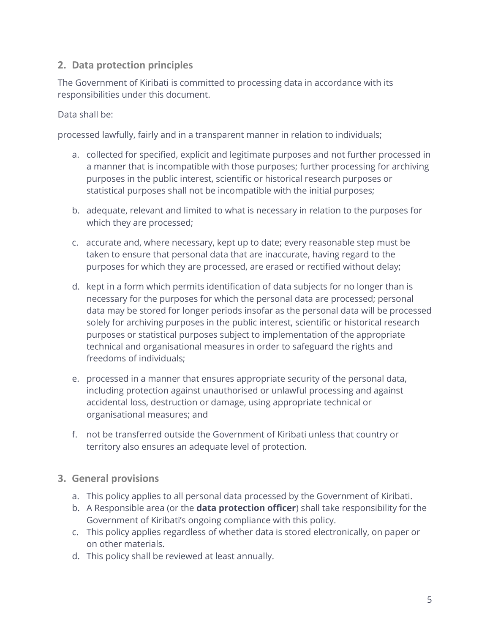#### **2. Data protection principles**

The Government of Kiribati is committed to processing data in accordance with its responsibilities under this document.

Data shall be:

processed lawfully, fairly and in a transparent manner in relation to individuals;

- a. collected for specified, explicit and legitimate purposes and not further processed in a manner that is incompatible with those purposes; further processing for archiving purposes in the public interest, scientific or historical research purposes or statistical purposes shall not be incompatible with the initial purposes;
- b. adequate, relevant and limited to what is necessary in relation to the purposes for which they are processed;
- c. accurate and, where necessary, kept up to date; every reasonable step must be taken to ensure that personal data that are inaccurate, having regard to the purposes for which they are processed, are erased or rectified without delay;
- d. kept in a form which permits identification of data subjects for no longer than is necessary for the purposes for which the personal data are processed; personal data may be stored for longer periods insofar as the personal data will be processed solely for archiving purposes in the public interest, scientific or historical research purposes or statistical purposes subject to implementation of the appropriate technical and organisational measures in order to safeguard the rights and freedoms of individuals;
- e. processed in a manner that ensures appropriate security of the personal data, including protection against unauthorised or unlawful processing and against accidental loss, destruction or damage, using appropriate technical or organisational measures; and
- f. not be transferred outside the Government of Kiribati unless that country or territory also ensures an adequate level of protection.
- **3. General provisions**
	- a. This policy applies to all personal data processed by the Government of Kiribati.
	- b. A Responsible area (or the **data protection officer**) shall take responsibility for the Government of Kiribati's ongoing compliance with this policy.
	- c. This policy applies regardless of whether data is stored electronically, on paper or on other materials.
	- d. This policy shall be reviewed at least annually.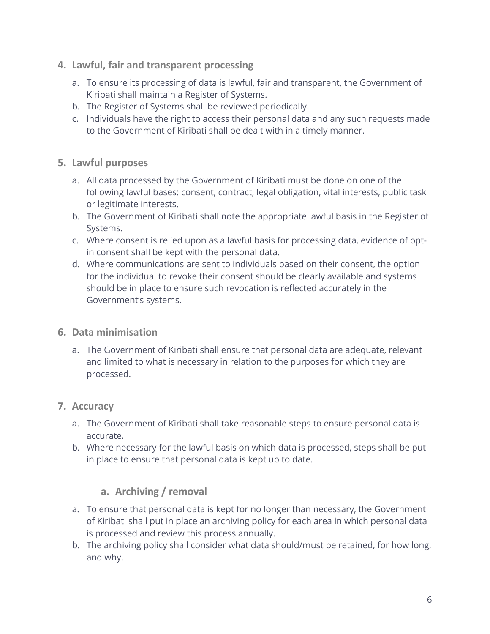- **4. Lawful, fair and transparent processing** 
	- a. To ensure its processing of data is lawful, fair and transparent, the Government of Kiribati shall maintain a Register of Systems.
	- b. The Register of Systems shall be reviewed periodically.
	- c. Individuals have the right to access their personal data and any such requests made to the Government of Kiribati shall be dealt with in a timely manner.
- **5. Lawful purposes**
	- a. All data processed by the Government of Kiribati must be done on one of the following lawful bases: consent, contract, legal obligation, vital interests, public task or legitimate interests.
	- b. The Government of Kiribati shall note the appropriate lawful basis in the Register of Systems.
	- c. Where consent is relied upon as a lawful basis for processing data, evidence of optin consent shall be kept with the personal data.
	- d. Where communications are sent to individuals based on their consent, the option for the individual to revoke their consent should be clearly available and systems should be in place to ensure such revocation is reflected accurately in the Government's systems.
- **6. Data minimisation**
	- a. The Government of Kiribati shall ensure that personal data are adequate, relevant and limited to what is necessary in relation to the purposes for which they are processed.
- **7. Accuracy**
	- a. The Government of Kiribati shall take reasonable steps to ensure personal data is accurate.
	- b. Where necessary for the lawful basis on which data is processed, steps shall be put in place to ensure that personal data is kept up to date.

#### **a. Archiving / removal**

- a. To ensure that personal data is kept for no longer than necessary, the Government of Kiribati shall put in place an archiving policy for each area in which personal data is processed and review this process annually.
- b. The archiving policy shall consider what data should/must be retained, for how long, and why.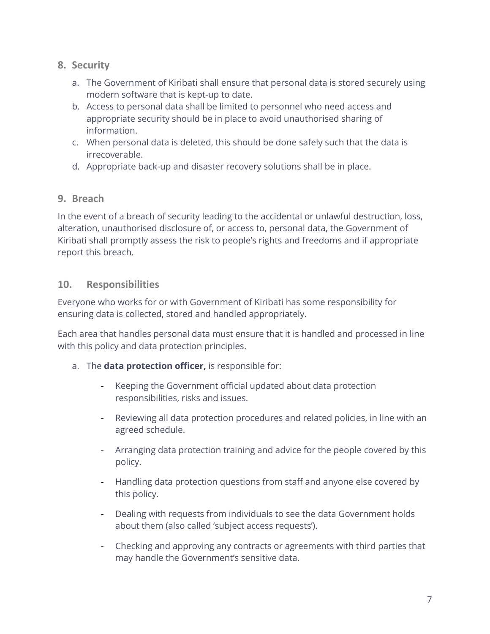#### **8. Security**

- a. The Government of Kiribati shall ensure that personal data is stored securely using modern software that is kept-up to date.
- b. Access to personal data shall be limited to personnel who need access and appropriate security should be in place to avoid unauthorised sharing of information.
- c. When personal data is deleted, this should be done safely such that the data is irrecoverable.
- d. Appropriate back-up and disaster recovery solutions shall be in place.

#### **9. Breach**

In the event of a breach of security leading to the accidental or unlawful destruction, loss, alteration, unauthorised disclosure of, or access to, personal data, the Government of Kiribati shall promptly assess the risk to people's rights and freedoms and if appropriate report this breach.

#### **10. Responsibilities**

Everyone who works for or with Government of Kiribati has some responsibility for ensuring data is collected, stored and handled appropriately.

Each area that handles personal data must ensure that it is handled and processed in line with this policy and data protection principles.

- a. The **data protection officer,** is responsible for:
	- Keeping the Government official updated about data protection responsibilities, risks and issues.
	- Reviewing all data protection procedures and related policies, in line with an agreed schedule.
	- Arranging data protection training and advice for the people covered by this policy.
	- Handling data protection questions from staff and anyone else covered by this policy.
	- Dealing with requests from individuals to see the data Government holds about them (also called 'subject access requests').
	- Checking and approving any contracts or agreements with third parties that may handle the Government's sensitive data.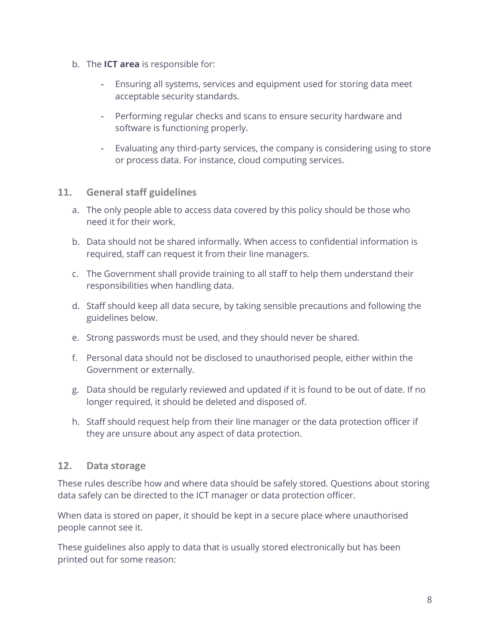- b. The **ICT area** is responsible for:
	- Ensuring all systems, services and equipment used for storing data meet acceptable security standards.
	- Performing regular checks and scans to ensure security hardware and software is functioning properly.
	- Evaluating any third-party services, the company is considering using to store or process data. For instance, cloud computing services.

#### **11. General staff guidelines**

- a. The only people able to access data covered by this policy should be those who need it for their work.
- b. Data should not be shared informally. When access to confidential information is required, staff can request it from their line managers.
- c. The Government shall provide training to all staff to help them understand their responsibilities when handling data.
- d. Staff should keep all data secure, by taking sensible precautions and following the guidelines below.
- e. Strong passwords must be used, and they should never be shared.
- f. Personal data should not be disclosed to unauthorised people, either within the Government or externally.
- g. Data should be regularly reviewed and updated if it is found to be out of date. If no longer required, it should be deleted and disposed of.
- h. Staff should request help from their line manager or the data protection officer if they are unsure about any aspect of data protection.

#### **12. Data storage**

These rules describe how and where data should be safely stored. Questions about storing data safely can be directed to the ICT manager or data protection officer.

When data is stored on paper, it should be kept in a secure place where unauthorised people cannot see it.

These guidelines also apply to data that is usually stored electronically but has been printed out for some reason: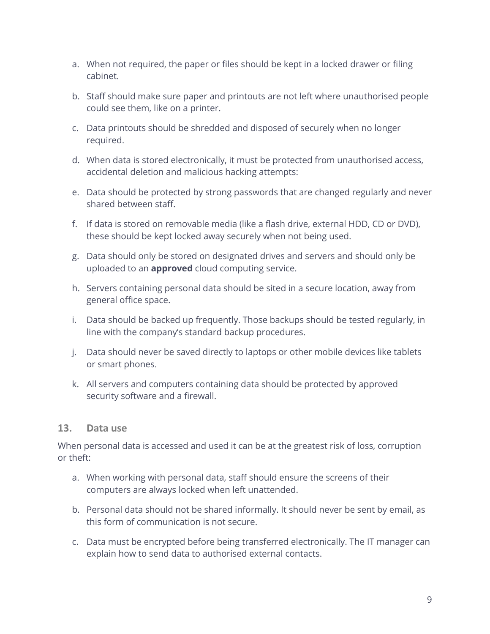- a. When not required, the paper or files should be kept in a locked drawer or filing cabinet.
- b. Staff should make sure paper and printouts are not left where unauthorised people could see them, like on a printer.
- c. Data printouts should be shredded and disposed of securely when no longer required.
- d. When data is stored electronically, it must be protected from unauthorised access, accidental deletion and malicious hacking attempts:
- e. Data should be protected by strong passwords that are changed regularly and never shared between staff.
- f. If data is stored on removable media (like a flash drive, external HDD, CD or DVD), these should be kept locked away securely when not being used.
- g. Data should only be stored on designated drives and servers and should only be uploaded to an **approved** cloud computing service.
- h. Servers containing personal data should be sited in a secure location, away from general office space.
- i. Data should be backed up frequently. Those backups should be tested regularly, in line with the company's standard backup procedures.
- j. Data should never be saved directly to laptops or other mobile devices like tablets or smart phones.
- k. All servers and computers containing data should be protected by approved security software and a firewall.

#### **13. Data use**

When personal data is accessed and used it can be at the greatest risk of loss, corruption or theft:

- a. When working with personal data, staff should ensure the screens of their computers are always locked when left unattended.
- b. Personal data should not be shared informally. It should never be sent by email, as this form of communication is not secure.
- c. Data must be encrypted before being transferred electronically. The IT manager can explain how to send data to authorised external contacts.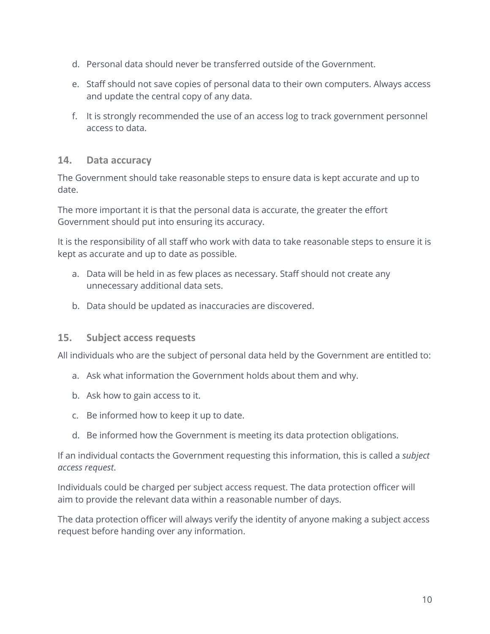- d. Personal data should never be transferred outside of the Government.
- e. Staff should not save copies of personal data to their own computers. Always access and update the central copy of any data.
- f. It is strongly recommended the use of an access log to track government personnel access to data.

#### **14. Data accuracy**

The Government should take reasonable steps to ensure data is kept accurate and up to date.

The more important it is that the personal data is accurate, the greater the effort Government should put into ensuring its accuracy.

It is the responsibility of all staff who work with data to take reasonable steps to ensure it is kept as accurate and up to date as possible.

- a. Data will be held in as few places as necessary. Staff should not create any unnecessary additional data sets.
- b. Data should be updated as inaccuracies are discovered.

#### **15. Subject access requests**

All individuals who are the subject of personal data held by the Government are entitled to:

- a. Ask what information the Government holds about them and why.
- b. Ask how to gain access to it.
- c. Be informed how to keep it up to date.
- d. Be informed how the Government is meeting its data protection obligations.

If an individual contacts the Government requesting this information, this is called a *subject access request*.

Individuals could be charged per subject access request. The data protection officer will aim to provide the relevant data within a reasonable number of days.

The data protection officer will always verify the identity of anyone making a subject access request before handing over any information.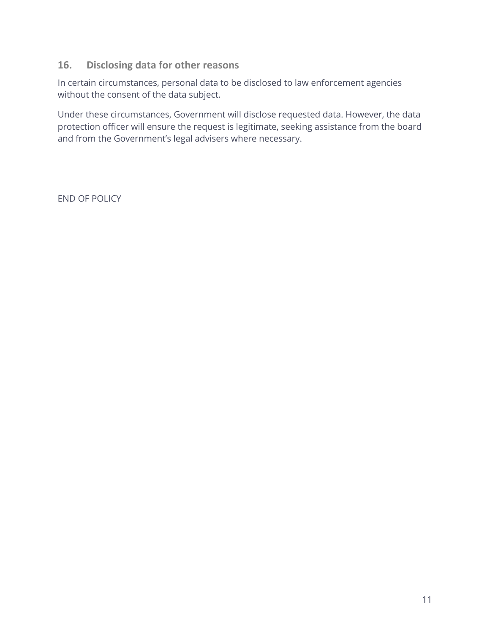#### **16. Disclosing data for other reasons**

In certain circumstances, personal data to be disclosed to law enforcement agencies without the consent of the data subject.

Under these circumstances, Government will disclose requested data. However, the data protection officer will ensure the request is legitimate, seeking assistance from the board and from the Government's legal advisers where necessary.

END OF POLICY